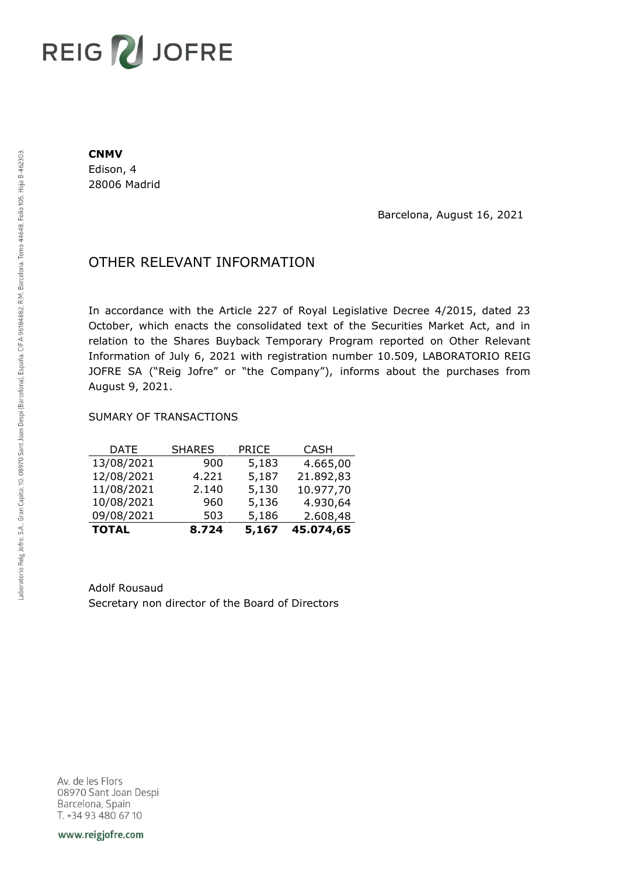# REIG V JOFRE

#### **CNMV**

Edison, 4 28006 Madrid

Barcelona, August 16, 2021

## OTHER RELEVANT INFORMATION

In accordance with the Article 227 of Royal Legislative Decree 4/2015, dated 23 October, which enacts the consolidated text of the Securities Market Act, and in relation to the Shares Buyback Temporary Program reported on Other Relevant Information of July 6, 2021 with registration number 10.509, LABORATORIO REIG JOFRE SA ("Reig Jofre" or "the Company"), informs about the purchases from August 9, 2021.

### SUMARY OF TRANSACTIONS

| <b>TOTAL</b> | 8.724         | 5,167        | 45.074,65   |
|--------------|---------------|--------------|-------------|
| 09/08/2021   | 503           | 5,186        | 2.608,48    |
| 10/08/2021   | 960           | 5,136        | 4.930,64    |
| 11/08/2021   | 2.140         | 5,130        | 10.977,70   |
| 12/08/2021   | 4.221         | 5,187        | 21.892,83   |
| 13/08/2021   | 900           | 5,183        | 4.665,00    |
| DATE         | <b>SHARES</b> | <b>PRICE</b> | <b>CASH</b> |

Adolf Rousaud Secretary non director of the Board of Directors

Av. de les Flors 08970 Sant Joan Despi Barcelona, Spain T. +34 93 480 67 10

www.reigjofre.com